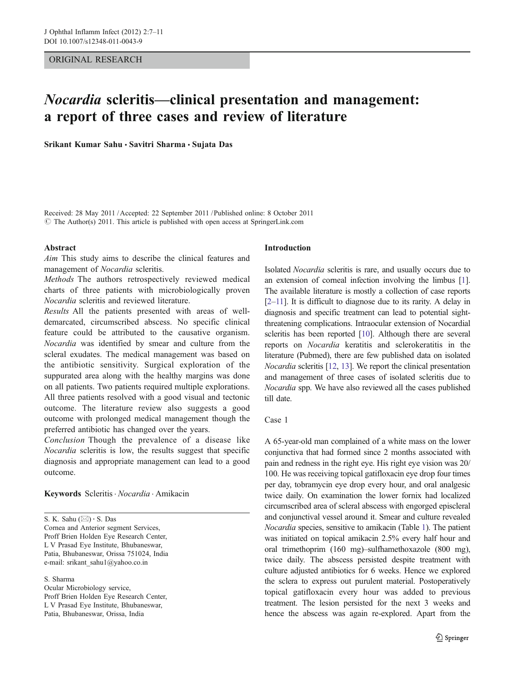# ORIGINAL RESEARCH

# Nocardia scleritis—clinical presentation and management: a report of three cases and review of literature

Srikant Kumar Sahu · Savitri Sharma · Sujata Das

Received: 28 May 2011 /Accepted: 22 September 2011 / Published online: 8 October 2011  $\odot$  The Author(s) 2011. This article is published with open access at SpringerLink.com

### Abstract

Aim This study aims to describe the clinical features and management of Nocardia scleritis.

Methods The authors retrospectively reviewed medical charts of three patients with microbiologically proven Nocardia scleritis and reviewed literature.

Results All the patients presented with areas of welldemarcated, circumscribed abscess. No specific clinical feature could be attributed to the causative organism. Nocardia was identified by smear and culture from the scleral exudates. The medical management was based on the antibiotic sensitivity. Surgical exploration of the suppurated area along with the healthy margins was done on all patients. Two patients required multiple explorations. All three patients resolved with a good visual and tectonic outcome. The literature review also suggests a good outcome with prolonged medical management though the preferred antibiotic has changed over the years.

Conclusion Though the prevalence of a disease like Nocardia scleritis is low, the results suggest that specific diagnosis and appropriate management can lead to a good outcome.

# Keywords Scleritis · Nocardia · Amikacin

S. K. Sahu  $(\boxtimes) \cdot$  S. Das Cornea and Anterior segment Services, Proff Brien Holden Eye Research Center, L V Prasad Eye Institute, Bhubaneswar, Patia, Bhubaneswar, Orissa 751024, India e-mail: srikant\_sahu1@yahoo.co.in

S. Sharma Ocular Microbiology service, Proff Brien Holden Eye Research Center, L V Prasad Eye Institute, Bhubaneswar, Patia, Bhubaneswar, Orissa, India

### Introduction

Isolated Nocardia scleritis is rare, and usually occurs due to an extension of corneal infection involving the limbus [[1\]](#page-4-0). The available literature is mostly a collection of case reports [\[2](#page-4-0)–[11](#page-4-0)]. It is difficult to diagnose due to its rarity. A delay in diagnosis and specific treatment can lead to potential sightthreatening complications. Intraocular extension of Nocardial scleritis has been reported [\[10\]](#page-4-0). Although there are several reports on Nocardia keratitis and sclerokeratitis in the literature (Pubmed), there are few published data on isolated Nocardia scleritis [[12](#page-4-0), [13](#page-4-0)]. We report the clinical presentation and management of three cases of isolated scleritis due to Nocardia spp. We have also reviewed all the cases published till date.

# Case 1

A 65-year-old man complained of a white mass on the lower conjunctiva that had formed since 2 months associated with pain and redness in the right eye. His right eye vision was 20/ 100. He was receiving topical gatifloxacin eye drop four times per day, tobramycin eye drop every hour, and oral analgesic twice daily. On examination the lower fornix had localized circumscribed area of scleral abscess with engorged episcleral and conjunctival vessel around it. Smear and culture revealed Nocardia species, sensitive to amikacin (Table [1\)](#page-1-0). The patient was initiated on topical amikacin 2.5% every half hour and oral trimethoprim (160 mg)–sulfhamethoxazole (800 mg), twice daily. The abscess persisted despite treatment with culture adjusted antibiotics for 6 weeks. Hence we explored the sclera to express out purulent material. Postoperatively topical gatifloxacin every hour was added to previous treatment. The lesion persisted for the next 3 weeks and hence the abscess was again re-explored. Apart from the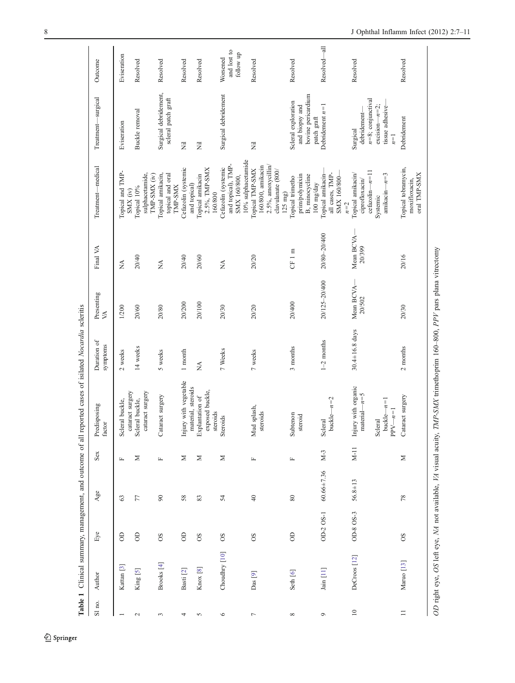<span id="page-1-0"></span>

|                   |                                                                |           |                  |              | Table 1 Clinical summary, management, and outcome of all reported cases of isilated Nocardia scleritis |                         |                                |                     |                                                                                                 |                                                                                                  |                                      |
|-------------------|----------------------------------------------------------------|-----------|------------------|--------------|--------------------------------------------------------------------------------------------------------|-------------------------|--------------------------------|---------------------|-------------------------------------------------------------------------------------------------|--------------------------------------------------------------------------------------------------|--------------------------------------|
| $\mathrm{S}l$ no. | Author                                                         | Eye       | Age              | Sex          | Predisposing<br>factor                                                                                 | Duration of<br>symptoms | Presenting<br>$\triangleright$ | Final VA            | Treatment-medical                                                                               | Treatment-surgical                                                                               | Outcome                              |
|                   | Kattan <sup>[3]</sup>                                          | $\Theta$  | 63               | $\mathbf{L}$ | cataract surgery<br>Scleral buckle,                                                                    | 2 weeks                 | 1/200                          | $\sum_{i=1}^{n}$    | Topical and TMP-<br>SMX (iv)                                                                    | Eviseration                                                                                      | Eviseration                          |
| $\mathbf{C}$      | King [5]                                                       | $\Theta$  | 77               | ⊠            | cataract surgery<br>Scleral buckle,                                                                    | 14 weeks                | 20/60                          | 20/40               | sulphacetamide,<br>TMP-SMX (iv)<br>Topical 10%                                                  | Buckle removal                                                                                   | Resolved                             |
| $\sim$            | Brooks [4]                                                     | 80        | $90\,$           | $\mathbf{L}$ | Cataract surgery                                                                                       | 5 weeks                 | 20/80                          | $\lessapprox$       | Topical amikacin,<br>topical and oral<br><b>TMP-SMX</b>                                         | Surgical debridement,<br>scleral patch graft                                                     | Resolved                             |
| 4                 | Basti <sup>[2]</sup>                                           | $\Theta$  | 58               | ⋝            | Injury with vegetable<br>material, steroids                                                            | 1 month                 | 20/200                         | 20/40               | Cefazolin (systemic<br>and topical)                                                             | Ē                                                                                                | Resolved                             |
| 5                 | Knox [8]                                                       | 8O        | 83               | Σ            | exposed buckle,<br>Explantation of<br>steroids                                                         | $\sum_{i=1}^{n}$        | 20/100                         | 20/60               | 2.5%, TMP-SMX<br>Topical amikacin<br>160/800                                                    | Ē                                                                                                | Resolved                             |
| $\circ$           | Choudhry [10]                                                  | $\rm{SO}$ | 54               | Σ            | Steroids                                                                                               | 7 Weeks                 | 20/30                          | $\lessapprox$       | 10% sulphacetamide<br>and topical), TMP-<br>Cefazolin (systemic<br>SMX 160/800,                 | Surgical debridement                                                                             | and lost to<br>follow up<br>Worsened |
| $\overline{ }$    | Das [9]                                                        | 8O        | $40\,$           | $\mathbf{L}$ | Mud splash,<br>steroids                                                                                | 7 weeks                 | 20/20                          | 20/20               | 2.5%, amoxycillin/<br>$160/800$ , amikacin<br>Topical TMP-SMX<br>clavulanate (800/<br>$125$ mg) | $\overline{\overline{z}}$                                                                        | Resolved                             |
| $\infty$          | Seth [6]                                                       | $\Theta$  | $\rm 80$         | $\mathbf{L}$ | Subtenon<br>steroid                                                                                    | 3 months                | 20/400                         | CF1m                | prim/polymixin<br>B, minocycline<br>Topical trimetho<br>$100 \text{ mg/day}$                    | bovine pericardium<br>Scleral exploration<br>and biopsy and<br>patch graft                       | Resolved                             |
| $\mathsf{O}$      | Jain [11]                                                      | OD-2 OS-1 | $60.66 \pm 7.36$ | $M-3$        | buckle $-n=2$<br>Scleral                                                                               | $1-2$ months            | 20/125-20/400                  | 20/80-20/400        | all cases, TMP-<br>Topical amikacin-<br>SMX 160/800-<br>$n=2$                                   | Debridement $n=1$                                                                                | Resolved-all                         |
| $\supseteq$       | DeCroos [12]                                                   | OD-8 OS-3 | $56.8 \pm 13$    | $M-11$       | Injury with organic<br>$material - n = 5$<br>$buckle-n=1$<br>$PPV-n=1$<br>Scleral                      | $30.4 \pm 16.8$ days    | Mean BCVA-<br>20/502           | Mean BCVA<br>20/399 | $cefazolin-n=11$<br>$-n = 3$<br>Topical amikacin/<br>ciprofloxacin/<br>amikacin-<br>Systemic    | $n=8$ ; conjunctival<br>$excision-n=2;$<br>tissue adhesive-<br>debridement-<br>Surgical<br>$n=1$ | Resolved                             |
| $\equiv$          | Maruo <sup>[13]</sup>                                          | <b>SO</b> | $78$             | $\geq$       | Cataract surgery                                                                                       | 2 months                | 20/30                          | 20/16               | Topical tobramycin,<br>oral TMP-SMX<br>moxifloxacin,                                            | Debridement                                                                                      | Resolved                             |
|                   | OD right eye, OS left eye, NA not available, VA visual acuity, |           |                  |              | TMP-SMX trimethoprim 160-800, PPV pars plana vitrectomy                                                |                         |                                |                     |                                                                                                 |                                                                                                  |                                      |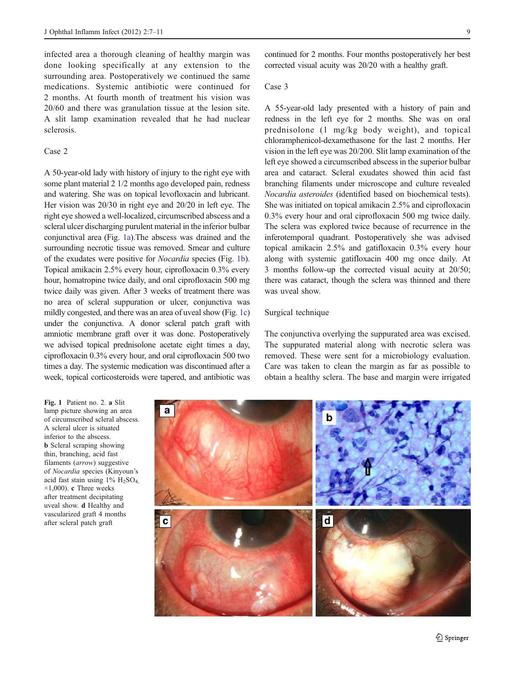infected area a thorough cleaning of healthy margin was done looking specifically at any extension to the surrounding area. Postoperatively we continued the same medications. Systemic antibiotic were continued for 2 months. At fourth month of treatment his vision was 20/60 and there was granulation tissue at the lesion site. A slit lamp examination revealed that he had nuclear sclerosis.

# Case 2

A 50-year-old lady with history of injury to the right eye with some plant material 2 1/2 months ago developed pain, redness and watering. She was on topical levofloxacin and lubricant. Her vision was 20/30 in right eye and 20/20 in left eye. The right eye showed a well-localized, circumscribed abscess and a scleral ulcer discharging purulent material in the inferior bulbar conjunctival area (Fig. 1a).The abscess was drained and the surrounding necrotic tissue was removed. Smear and culture of the exudates were positive for Nocardia species (Fig. 1b). Topical amikacin 2.5% every hour, ciprofloxacin 0.3% every hour, homatropine twice daily, and oral ciprofloxacin 500 mg twice daily was given. After 3 weeks of treatment there was no area of scleral suppuration or ulcer, conjunctiva was mildly congested, and there was an area of uveal show (Fig. 1c) under the conjunctiva. A donor scleral patch graft with amniotic membrane graft over it was done. Postoperatively we advised topical prednisolone acetate eight times a day, ciprofloxacin 0.3% every hour, and oral ciprofloxacin 500 two times a day. The systemic medication was discontinued after a week, topical corticosteroids were tapered, and antibiotic was

Fig. 1 Patient no. 2. a Slit lamp picture showing an area of circumscribed scleral abscess. A scleral ulcer is situated inferior to the abscess. b Scleral scraping showing thin, branching, acid fast filaments (arrow) suggestive of Nocardia species (Kinyoun's acid fast stain using  $1\%$  H<sub>2</sub>SO<sub>4</sub>,  $\times$ 1,000). c Three weeks after treatment decipitating uveal show. d Healthy and vascularized graft 4 months after scleral patch graft

continued for 2 months. Four months postoperatively her best corrected visual acuity was 20/20 with a healthy graft.

Case 3

A 55-year-old lady presented with a history of pain and redness in the left eye for 2 months. She was on oral prednisolone (1 mg/kg body weight), and topical chloramphenicol-dexamethasone for the last 2 months. Her vision in the left eye was 20/200. Slit lamp examination of the left eye showed a circumscribed abscess in the superior bulbar area and cataract. Scleral exudates showed thin acid fast branching filaments under microscope and culture revealed Nocardia asteroides (identified based on biochemical tests). She was initiated on topical amikacin 2.5% and ciprofloxacin 0.3% every hour and oral ciprofloxacin 500 mg twice daily. The sclera was explored twice because of recurrence in the inferotemporal quadrant. Postoperatively she was advised topical amikacin 2.5% and gatifloxacin 0.3% every hour along with systemic gatifloxacin 400 mg once daily. At 3 months follow-up the corrected visual acuity at 20/50; there was cataract, though the sclera was thinned and there was uveal show.

## Surgical technique

The conjunctiva overlying the suppurated area was excised. The suppurated material along with necrotic sclera was removed. These were sent for a microbiology evaluation. Care was taken to clean the margin as far as possible to obtain a healthy sclera. The base and margin were irrigated

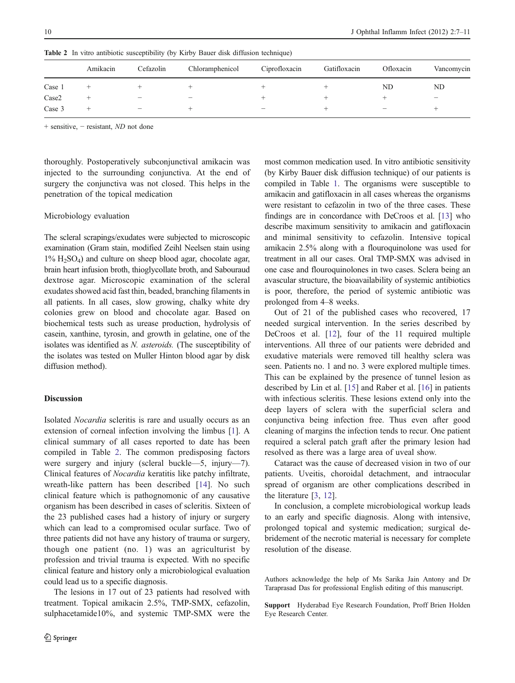|        | Amikacin | Cefazolin                       | Chloramphenicol         | Ciprofloxacin            | Gatifloxacin | Ofloxacin                | Vancomycin               |
|--------|----------|---------------------------------|-------------------------|--------------------------|--------------|--------------------------|--------------------------|
| Case 1 |          |                                 |                         |                          |              | ND                       | ND                       |
| Case2  |          | $\qquad \qquad \  \  \, -$      | $\qquad \qquad \  \, -$ |                          |              |                          | $\overline{\phantom{0}}$ |
| Case 3 |          | $\hspace{0.1mm}-\hspace{0.1mm}$ |                         | $\overline{\phantom{m}}$ |              | $\overline{\phantom{m}}$ |                          |

Table 2 In vitro antibiotic susceptibility (by Kirby Bauer disk diffusion technique)

+ sensitive, − resistant, ND not done

thoroughly. Postoperatively subconjunctival amikacin was injected to the surrounding conjunctiva. At the end of surgery the conjunctiva was not closed. This helps in the penetration of the topical medication

## Microbiology evaluation

The scleral scrapings/exudates were subjected to microscopic examination (Gram stain, modified Zeihl Neelsen stain using  $1\%$  H<sub>2</sub>SO<sub>4</sub>) and culture on sheep blood agar, chocolate agar, brain heart infusion broth, thioglycollate broth, and Sabouraud dextrose agar. Microscopic examination of the scleral exudates showed acid fast thin, beaded, branching filaments in all patients. In all cases, slow growing, chalky white dry colonies grew on blood and chocolate agar. Based on biochemical tests such as urease production, hydrolysis of casein, xanthine, tyrosin, and growth in gelatine, one of the isolates was identified as N. asteroids. (The susceptibility of the isolates was tested on Muller Hinton blood agar by disk diffusion method).

## Discussion

Isolated Nocardia scleritis is rare and usually occurs as an extension of corneal infection involving the limbus [[1\]](#page-4-0). A clinical summary of all cases reported to date has been compiled in Table 2. The common predisposing factors were surgery and injury (scleral buckle—5, injury—7). Clinical features of Nocardia keratitis like patchy infiltrate, wreath-like pattern has been described [[14\]](#page-4-0). No such clinical feature which is pathognomonic of any causative organism has been described in cases of scleritis. Sixteen of the 23 published cases had a history of injury or surgery which can lead to a compromised ocular surface. Two of three patients did not have any history of trauma or surgery, though one patient (no. 1) was an agriculturist by profession and trivial trauma is expected. With no specific clinical feature and history only a microbiological evaluation could lead us to a specific diagnosis.

The lesions in 17 out of 23 patients had resolved with treatment. Topical amikacin 2.5%, TMP-SMX, cefazolin, sulphacetamide10%, and systemic TMP-SMX were the most common medication used. In vitro antibiotic sensitivity (by Kirby Bauer disk diffusion technique) of our patients is compiled in Table [1.](#page-1-0) The organisms were susceptible to amikacin and gatifloxacin in all cases whereas the organisms were resistant to cefazolin in two of the three cases. These findings are in concordance with DeCroos et al. [\[13\]](#page-4-0) who describe maximum sensitivity to amikacin and gatifloxacin and minimal sensitivity to cefazolin. Intensive topical amikacin 2.5% along with a flouroquinolone was used for treatment in all our cases. Oral TMP-SMX was advised in one case and flouroquinolones in two cases. Sclera being an avascular structure, the bioavailability of systemic antibiotics is poor, therefore, the period of systemic antibiotic was prolonged from 4–8 weeks.

Out of 21 of the published cases who recovered, 17 needed surgical intervention. In the series described by DeCroos et al. [[12\]](#page-4-0), four of the 11 required multiple interventions. All three of our patients were debrided and exudative materials were removed till healthy sclera was seen. Patients no. 1 and no. 3 were explored multiple times. This can be explained by the presence of tunnel lesion as described by Lin et al. [[15\]](#page-4-0) and Raber et al. [[16\]](#page-4-0) in patients with infectious scleritis. These lesions extend only into the deep layers of sclera with the superficial sclera and conjunctiva being infection free. Thus even after good cleaning of margins the infection tends to recur. One patient required a scleral patch graft after the primary lesion had resolved as there was a large area of uveal show.

Cataract was the cause of decreased vision in two of our patients. Uveitis, choroidal detachment, and intraocular spread of organism are other complications described in the literature [\[3](#page-4-0), [12](#page-4-0)].

In conclusion, a complete microbiological workup leads to an early and specific diagnosis. Along with intensive, prolonged topical and systemic medication; surgical debridement of the necrotic material is necessary for complete resolution of the disease.

Authors acknowledge the help of Ms Sarika Jain Antony and Dr Taraprasad Das for professional English editing of this manuscript.

Support Hyderabad Eye Research Foundation, Proff Brien Holden Eye Research Center.